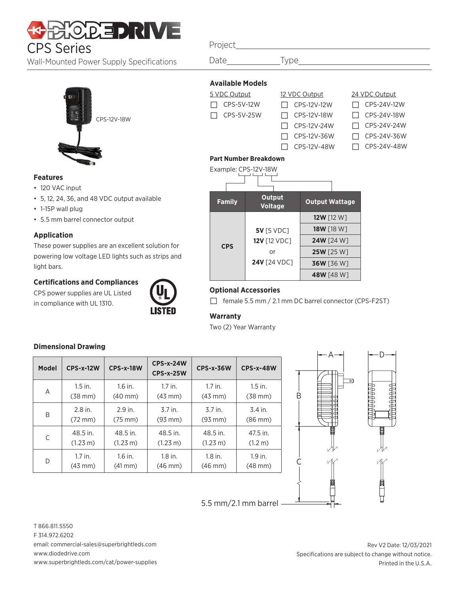# **HOLD EDIRIVE** CPS Series Project

Wall-Mounted Power Supply Specifications



#### **Features**

- 120 VAC input
- 5, 12, 24, 36, and 48 VDC output available
- 1-15P wall plug
- 5.5 mm barrel connector output

### **Application**

These power supplies are an excellent solution for powering low voltage LED lights such as strips and light bars.

## **Certifications and Compliances**

CPS power supplies are UL Listed in compliance with UL 1310.



## **Dimensional Drawing**

| <b>Model</b> | <b>CPS-x-12W</b>   | <b>CPS-x-18W</b>   | $CPS-x-24W$<br>$CPS-x-25W$ | <b>CPS-x-36W</b>   | <b>CPS-x-48W</b> |
|--------------|--------------------|--------------------|----------------------------|--------------------|------------------|
| A            | $1.5$ in.          | $1.6$ in.          | $1.7$ in.                  | $1.7$ in.          | $1.5$ in.        |
|              | $(38$ mm $)$       | $(40$ mm $)$       | $(43 \text{ mm})$          | $(43$ mm $)$       | $(38$ mm $)$     |
| B            | $2.8$ in.          | 2.9 in.            | $3.7$ in.                  | $3.7$ in.          | 3.4 in.          |
|              | $(72 \text{ mm})$  | $(75 \text{ mm})$  | $(93$ mm $)$               | $(93$ mm $)$       | $(86$ mm $)$     |
| C            | 48.5 in.           | 48.5 in.           | 48.5 in.                   | 48.5 in.           | 47.5 in.         |
|              | $(1.23 \text{ m})$ | $(1.23 \text{ m})$ | $(1.23 \text{ m})$         | $(1.23 \text{ m})$ | (1.2 m)          |
| D            | $1.7$ in.          | $1.6$ in.          | $1.8$ in.                  | $1.8$ in.          | $1.9$ in.        |
|              | $(43$ mm $)$       | $(41 \text{ mm})$  | $(46$ mm $)$               | $(46$ mm $)$       | $(48$ mm $)$     |
|              |                    |                    |                            |                    |                  |

5.5 mm/2.1 mm barrel

| Date                    | ne.           |
|-------------------------|---------------|
|                         |               |
| <b>Available Models</b> |               |
| 5 VDC Output            | 12 VDC Output |
| CPS-5V-12W              | CPS-12V-12W   |
| CPS-5V-25W              | CPS-12V-18W   |
|                         | CPS-12V-24W   |
|                         | CPS-12V-36W   |
|                         |               |

24 VDC Output  $\Box$  CPS-24V-12W

- 
- $\Box$  CPS-24V-18W
- $\Box$  CPS-24V-24W
	- □ CPS-24V-36W □ CPS-24V-48W

 $\Box$  CPS-12V-48W



## **Optional Accessories**

□ female 5.5 mm / 2.1 mm DC barrel connector (CPS-F2ST)

B

C

## **Warranty**

Two (2) Year Warranty

 $A \rightarrow$   $\leftarrow$  D